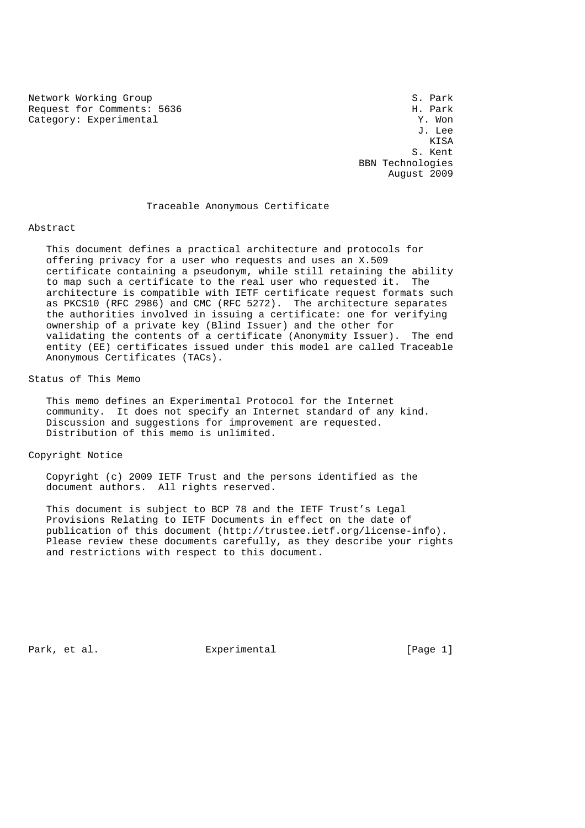Network Working Group<br>Request for Comments: 5636 Section Section Section S. Park Request for Comments: 5636 H. Park<br>Category: Experimental M. Park (2001)

Category: Experimental  $Y.$  Won  $J.$  Lee J. Lee **KISA**  S. Kent BBN Technologies August 2009

### Traceable Anonymous Certificate

#### Abstract

 This document defines a practical architecture and protocols for offering privacy for a user who requests and uses an X.509 certificate containing a pseudonym, while still retaining the ability to map such a certificate to the real user who requested it. The architecture is compatible with IETF certificate request formats such as PKCS10 (RFC 2986) and CMC (RFC 5272). The architecture separates the authorities involved in issuing a certificate: one for verifying ownership of a private key (Blind Issuer) and the other for validating the contents of a certificate (Anonymity Issuer). The end entity (EE) certificates issued under this model are called Traceable Anonymous Certificates (TACs).

# Status of This Memo

 This memo defines an Experimental Protocol for the Internet community. It does not specify an Internet standard of any kind. Discussion and suggestions for improvement are requested. Distribution of this memo is unlimited.

Copyright Notice

 Copyright (c) 2009 IETF Trust and the persons identified as the document authors. All rights reserved.

 This document is subject to BCP 78 and the IETF Trust's Legal Provisions Relating to IETF Documents in effect on the date of publication of this document (http://trustee.ietf.org/license-info). Please review these documents carefully, as they describe your rights and restrictions with respect to this document.

Park, et al. Experimental [Page 1]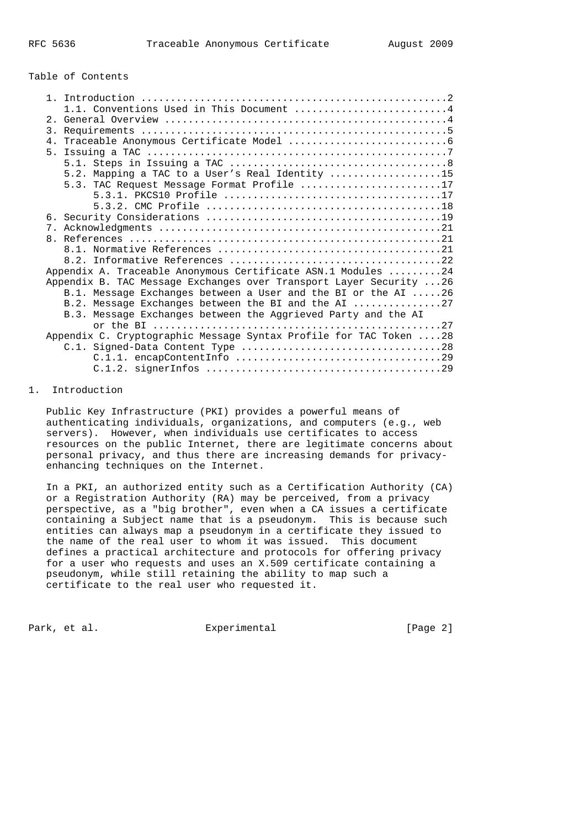## Table of Contents

| 1.1. Conventions Used in This Document 4                            |
|---------------------------------------------------------------------|
|                                                                     |
|                                                                     |
|                                                                     |
|                                                                     |
|                                                                     |
| 5.2. Mapping a TAC to a User's Real Identity 15                     |
| 5.3. TAC Request Message Format Profile 17                          |
|                                                                     |
|                                                                     |
|                                                                     |
|                                                                     |
|                                                                     |
|                                                                     |
| Appendix A. Traceable Anonymous Certificate ASN.1 Modules 24        |
| Appendix B. TAC Message Exchanges over Transport Layer Security  26 |
| B.1. Message Exchanges between a User and the BI or the AI 26       |
| B.2. Message Exchanges between the BI and the AI 27                 |
| B.3. Message Exchanges between the Aggrieved Party and the AI       |
|                                                                     |
| Appendix C. Cryptographic Message Syntax Profile for TAC Token  28  |
|                                                                     |
|                                                                     |
|                                                                     |

## 1. Introduction

 Public Key Infrastructure (PKI) provides a powerful means of authenticating individuals, organizations, and computers (e.g., web servers). However, when individuals use certificates to access resources on the public Internet, there are legitimate concerns about personal privacy, and thus there are increasing demands for privacy enhancing techniques on the Internet.

 In a PKI, an authorized entity such as a Certification Authority (CA) or a Registration Authority (RA) may be perceived, from a privacy perspective, as a "big brother", even when a CA issues a certificate containing a Subject name that is a pseudonym. This is because such entities can always map a pseudonym in a certificate they issued to the name of the real user to whom it was issued. This document defines a practical architecture and protocols for offering privacy for a user who requests and uses an X.509 certificate containing a pseudonym, while still retaining the ability to map such a certificate to the real user who requested it.

Park, et al. Experimental Experimental [Page 2]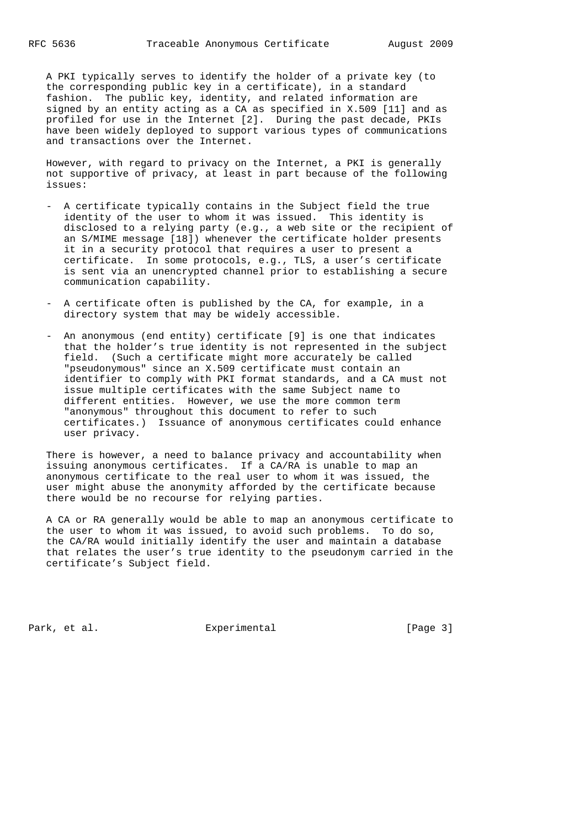A PKI typically serves to identify the holder of a private key (to the corresponding public key in a certificate), in a standard fashion. The public key, identity, and related information are signed by an entity acting as a CA as specified in X.509 [11] and as profiled for use in the Internet [2]. During the past decade, PKIs have been widely deployed to support various types of communications and transactions over the Internet.

 However, with regard to privacy on the Internet, a PKI is generally not supportive of privacy, at least in part because of the following issues:

- A certificate typically contains in the Subject field the true identity of the user to whom it was issued. This identity is disclosed to a relying party (e.g., a web site or the recipient of an S/MIME message [18]) whenever the certificate holder presents it in a security protocol that requires a user to present a certificate. In some protocols, e.g., TLS, a user's certificate is sent via an unencrypted channel prior to establishing a secure communication capability.
- A certificate often is published by the CA, for example, in a directory system that may be widely accessible.
- An anonymous (end entity) certificate [9] is one that indicates that the holder's true identity is not represented in the subject field. (Such a certificate might more accurately be called "pseudonymous" since an X.509 certificate must contain an identifier to comply with PKI format standards, and a CA must not issue multiple certificates with the same Subject name to different entities. However, we use the more common term "anonymous" throughout this document to refer to such certificates.) Issuance of anonymous certificates could enhance user privacy.

 There is however, a need to balance privacy and accountability when issuing anonymous certificates. If a CA/RA is unable to map an anonymous certificate to the real user to whom it was issued, the user might abuse the anonymity afforded by the certificate because there would be no recourse for relying parties.

 A CA or RA generally would be able to map an anonymous certificate to the user to whom it was issued, to avoid such problems. To do so, the CA/RA would initially identify the user and maintain a database that relates the user's true identity to the pseudonym carried in the certificate's Subject field.

Park, et al. Experimental Experimental [Page 3]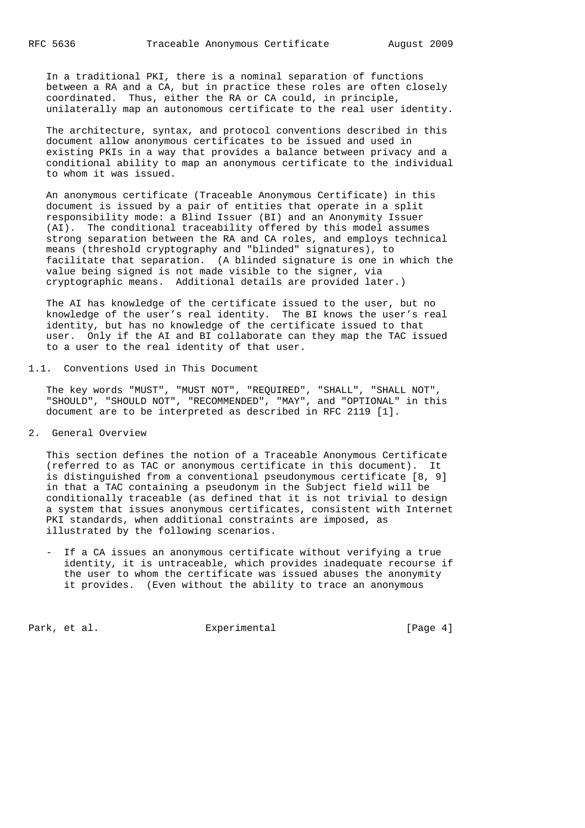In a traditional PKI, there is a nominal separation of functions between a RA and a CA, but in practice these roles are often closely coordinated. Thus, either the RA or CA could, in principle, unilaterally map an autonomous certificate to the real user identity.

 The architecture, syntax, and protocol conventions described in this document allow anonymous certificates to be issued and used in existing PKIs in a way that provides a balance between privacy and a conditional ability to map an anonymous certificate to the individual to whom it was issued.

 An anonymous certificate (Traceable Anonymous Certificate) in this document is issued by a pair of entities that operate in a split responsibility mode: a Blind Issuer (BI) and an Anonymity Issuer (AI). The conditional traceability offered by this model assumes strong separation between the RA and CA roles, and employs technical means (threshold cryptography and "blinded" signatures), to facilitate that separation. (A blinded signature is one in which the value being signed is not made visible to the signer, via cryptographic means. Additional details are provided later.)

 The AI has knowledge of the certificate issued to the user, but no knowledge of the user's real identity. The BI knows the user's real identity, but has no knowledge of the certificate issued to that user. Only if the AI and BI collaborate can they map the TAC issued to a user to the real identity of that user.

1.1. Conventions Used in This Document

 The key words "MUST", "MUST NOT", "REQUIRED", "SHALL", "SHALL NOT", "SHOULD", "SHOULD NOT", "RECOMMENDED", "MAY", and "OPTIONAL" in this document are to be interpreted as described in RFC 2119 [1].

2. General Overview

 This section defines the notion of a Traceable Anonymous Certificate (referred to as TAC or anonymous certificate in this document). It is distinguished from a conventional pseudonymous certificate [8, 9] in that a TAC containing a pseudonym in the Subject field will be conditionally traceable (as defined that it is not trivial to design a system that issues anonymous certificates, consistent with Internet PKI standards, when additional constraints are imposed, as illustrated by the following scenarios.

 - If a CA issues an anonymous certificate without verifying a true identity, it is untraceable, which provides inadequate recourse if the user to whom the certificate was issued abuses the anonymity it provides. (Even without the ability to trace an anonymous

Park, et al. Experimental Experimental [Page 4]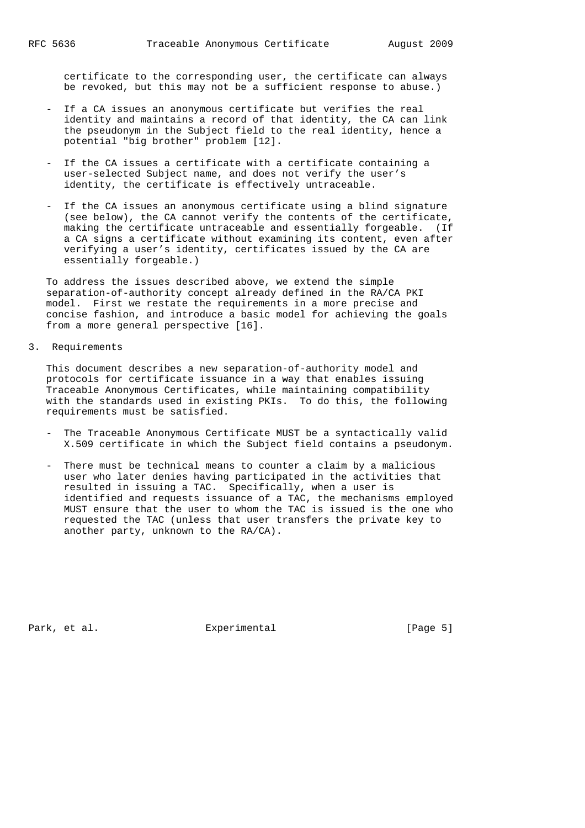certificate to the corresponding user, the certificate can always be revoked, but this may not be a sufficient response to abuse.)

- If a CA issues an anonymous certificate but verifies the real identity and maintains a record of that identity, the CA can link the pseudonym in the Subject field to the real identity, hence a potential "big brother" problem [12].
- If the CA issues a certificate with a certificate containing a user-selected Subject name, and does not verify the user's identity, the certificate is effectively untraceable.
- If the CA issues an anonymous certificate using a blind signature (see below), the CA cannot verify the contents of the certificate, making the certificate untraceable and essentially forgeable. (If a CA signs a certificate without examining its content, even after verifying a user's identity, certificates issued by the CA are essentially forgeable.)

 To address the issues described above, we extend the simple separation-of-authority concept already defined in the RA/CA PKI model. First we restate the requirements in a more precise and concise fashion, and introduce a basic model for achieving the goals from a more general perspective [16].

3. Requirements

 This document describes a new separation-of-authority model and protocols for certificate issuance in a way that enables issuing Traceable Anonymous Certificates, while maintaining compatibility with the standards used in existing PKIs. To do this, the following requirements must be satisfied.

- The Traceable Anonymous Certificate MUST be a syntactically valid X.509 certificate in which the Subject field contains a pseudonym.
- There must be technical means to counter a claim by a malicious user who later denies having participated in the activities that resulted in issuing a TAC. Specifically, when a user is identified and requests issuance of a TAC, the mechanisms employed MUST ensure that the user to whom the TAC is issued is the one who requested the TAC (unless that user transfers the private key to another party, unknown to the RA/CA).

Park, et al. Experimental Experimental [Page 5]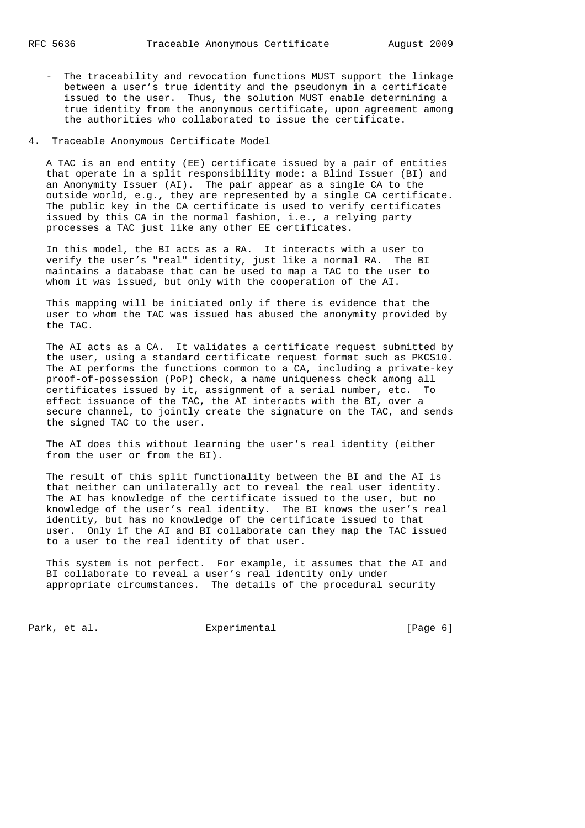- The traceability and revocation functions MUST support the linkage between a user's true identity and the pseudonym in a certificate issued to the user. Thus, the solution MUST enable determining a true identity from the anonymous certificate, upon agreement among the authorities who collaborated to issue the certificate.
- 4. Traceable Anonymous Certificate Model

 A TAC is an end entity (EE) certificate issued by a pair of entities that operate in a split responsibility mode: a Blind Issuer (BI) and an Anonymity Issuer (AI). The pair appear as a single CA to the outside world, e.g., they are represented by a single CA certificate. The public key in the CA certificate is used to verify certificates issued by this CA in the normal fashion, i.e., a relying party processes a TAC just like any other EE certificates.

 In this model, the BI acts as a RA. It interacts with a user to verify the user's "real" identity, just like a normal RA. The BI maintains a database that can be used to map a TAC to the user to whom it was issued, but only with the cooperation of the AI.

 This mapping will be initiated only if there is evidence that the user to whom the TAC was issued has abused the anonymity provided by the TAC.

 The AI acts as a CA. It validates a certificate request submitted by the user, using a standard certificate request format such as PKCS10. The AI performs the functions common to a CA, including a private-key proof-of-possession (PoP) check, a name uniqueness check among all certificates issued by it, assignment of a serial number, etc. To effect issuance of the TAC, the AI interacts with the BI, over a secure channel, to jointly create the signature on the TAC, and sends the signed TAC to the user.

 The AI does this without learning the user's real identity (either from the user or from the BI).

 The result of this split functionality between the BI and the AI is that neither can unilaterally act to reveal the real user identity. The AI has knowledge of the certificate issued to the user, but no knowledge of the user's real identity. The BI knows the user's real identity, but has no knowledge of the certificate issued to that user. Only if the AI and BI collaborate can they map the TAC issued to a user to the real identity of that user.

 This system is not perfect. For example, it assumes that the AI and BI collaborate to reveal a user's real identity only under appropriate circumstances. The details of the procedural security

Park, et al. Experimental [Page 6]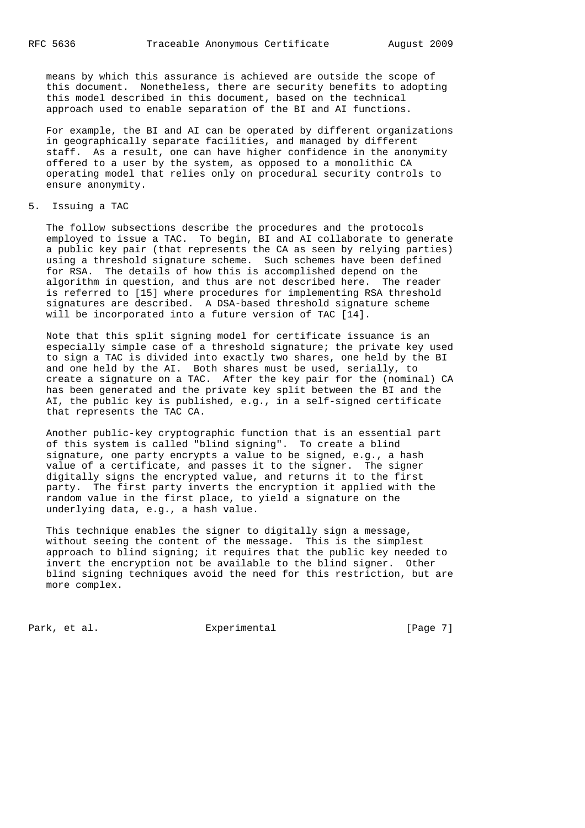means by which this assurance is achieved are outside the scope of this document. Nonetheless, there are security benefits to adopting this model described in this document, based on the technical approach used to enable separation of the BI and AI functions.

 For example, the BI and AI can be operated by different organizations in geographically separate facilities, and managed by different staff. As a result, one can have higher confidence in the anonymity offered to a user by the system, as opposed to a monolithic CA operating model that relies only on procedural security controls to ensure anonymity.

### 5. Issuing a TAC

 The follow subsections describe the procedures and the protocols employed to issue a TAC. To begin, BI and AI collaborate to generate a public key pair (that represents the CA as seen by relying parties) using a threshold signature scheme. Such schemes have been defined for RSA. The details of how this is accomplished depend on the algorithm in question, and thus are not described here. The reader is referred to [15] where procedures for implementing RSA threshold signatures are described. A DSA-based threshold signature scheme will be incorporated into a future version of TAC [14].

 Note that this split signing model for certificate issuance is an especially simple case of a threshold signature; the private key used to sign a TAC is divided into exactly two shares, one held by the BI and one held by the AI. Both shares must be used, serially, to create a signature on a TAC. After the key pair for the (nominal) CA has been generated and the private key split between the BI and the AI, the public key is published, e.g., in a self-signed certificate that represents the TAC CA.

 Another public-key cryptographic function that is an essential part of this system is called "blind signing". To create a blind signature, one party encrypts a value to be signed, e.g., a hash value of a certificate, and passes it to the signer. The signer digitally signs the encrypted value, and returns it to the first party. The first party inverts the encryption it applied with the random value in the first place, to yield a signature on the underlying data, e.g., a hash value.

 This technique enables the signer to digitally sign a message, without seeing the content of the message. This is the simplest approach to blind signing; it requires that the public key needed to invert the encryption not be available to the blind signer. Other blind signing techniques avoid the need for this restriction, but are more complex.

Park, et al. Subsection Experimental Fage 71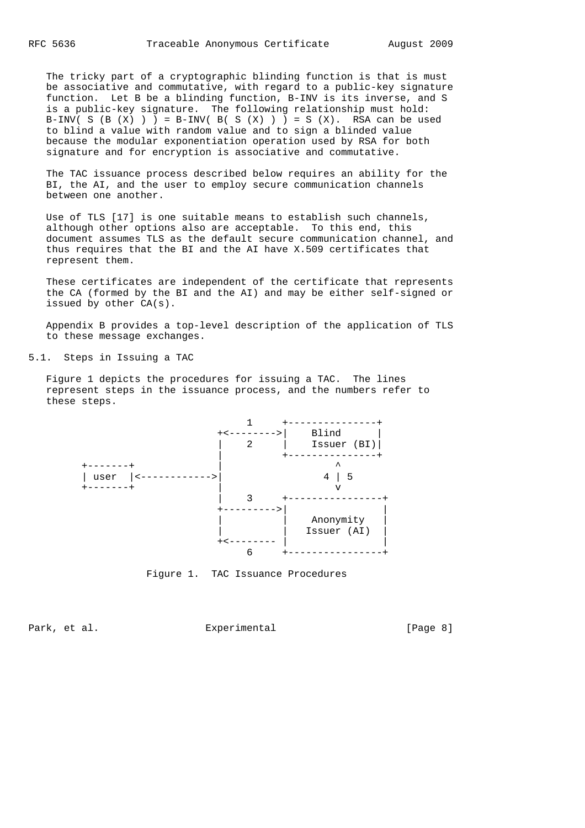The tricky part of a cryptographic blinding function is that is must be associative and commutative, with regard to a public-key signature function. Let B be a blinding function, B-INV is its inverse, and S is a public-key signature. The following relationship must hold: B-INV( S (B  $(X)$  )  $)$  = B-INV( B( S  $(X)$  )  $)$  = S  $(X)$ . RSA can be used to blind a value with random value and to sign a blinded value because the modular exponentiation operation used by RSA for both signature and for encryption is associative and commutative.

 The TAC issuance process described below requires an ability for the BI, the AI, and the user to employ secure communication channels between one another.

 Use of TLS [17] is one suitable means to establish such channels, although other options also are acceptable. To this end, this document assumes TLS as the default secure communication channel, and thus requires that the BI and the AI have X.509 certificates that represent them.

 These certificates are independent of the certificate that represents the CA (formed by the BI and the AI) and may be either self-signed or issued by other CA(s).

 Appendix B provides a top-level description of the application of TLS to these message exchanges.

5.1. Steps in Issuing a TAC

 Figure 1 depicts the procedures for issuing a TAC. The lines represent steps in the issuance process, and the numbers refer to these steps.



Figure 1. TAC Issuance Procedures

Park, et al. Experimental Experimental [Page 8]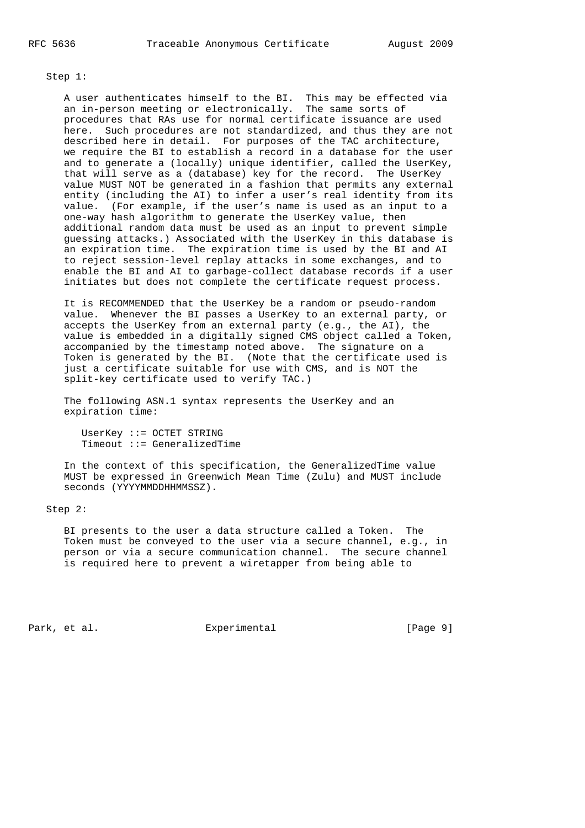### Step 1:

 A user authenticates himself to the BI. This may be effected via an in-person meeting or electronically. The same sorts of procedures that RAs use for normal certificate issuance are used here. Such procedures are not standardized, and thus they are not described here in detail. For purposes of the TAC architecture, we require the BI to establish a record in a database for the user and to generate a (locally) unique identifier, called the UserKey, that will serve as a (database) key for the record. The UserKey value MUST NOT be generated in a fashion that permits any external entity (including the AI) to infer a user's real identity from its value. (For example, if the user's name is used as an input to a one-way hash algorithm to generate the UserKey value, then additional random data must be used as an input to prevent simple guessing attacks.) Associated with the UserKey in this database is an expiration time. The expiration time is used by the BI and AI to reject session-level replay attacks in some exchanges, and to enable the BI and AI to garbage-collect database records if a user initiates but does not complete the certificate request process.

 It is RECOMMENDED that the UserKey be a random or pseudo-random value. Whenever the BI passes a UserKey to an external party, or accepts the UserKey from an external party (e.g., the AI), the value is embedded in a digitally signed CMS object called a Token, accompanied by the timestamp noted above. The signature on a Token is generated by the BI. (Note that the certificate used is just a certificate suitable for use with CMS, and is NOT the split-key certificate used to verify TAC.)

 The following ASN.1 syntax represents the UserKey and an expiration time:

 UserKey ::= OCTET STRING Timeout ::= GeneralizedTime

 In the context of this specification, the GeneralizedTime value MUST be expressed in Greenwich Mean Time (Zulu) and MUST include seconds (YYYYMMDDHHMMSSZ).

## Step 2:

 BI presents to the user a data structure called a Token. The Token must be conveyed to the user via a secure channel, e.g., in person or via a secure communication channel. The secure channel is required here to prevent a wiretapper from being able to

Park, et al.  $\Box$  Experimental  $\Box$  [Page 9]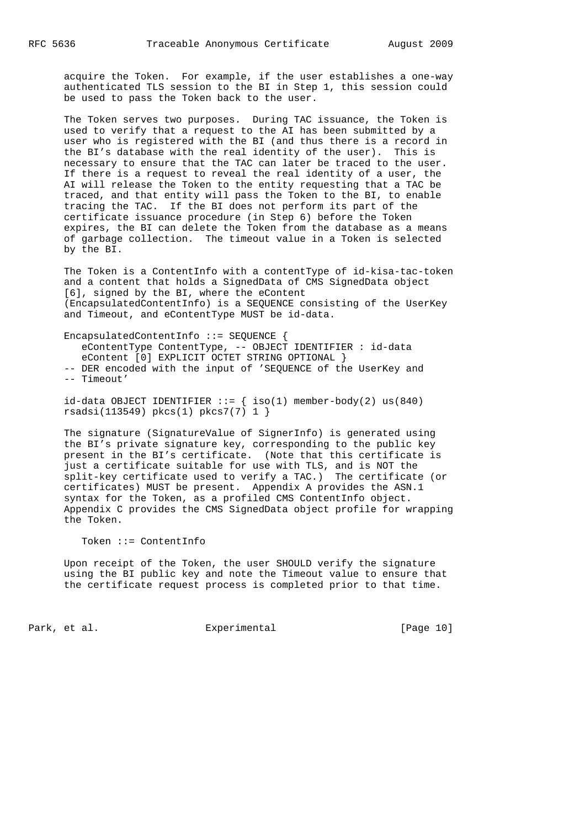acquire the Token. For example, if the user establishes a one-way authenticated TLS session to the BI in Step 1, this session could be used to pass the Token back to the user.

 The Token serves two purposes. During TAC issuance, the Token is used to verify that a request to the AI has been submitted by a user who is registered with the BI (and thus there is a record in the BI's database with the real identity of the user). This is necessary to ensure that the TAC can later be traced to the user. If there is a request to reveal the real identity of a user, the AI will release the Token to the entity requesting that a TAC be traced, and that entity will pass the Token to the BI, to enable tracing the TAC. If the BI does not perform its part of the certificate issuance procedure (in Step 6) before the Token expires, the BI can delete the Token from the database as a means of garbage collection. The timeout value in a Token is selected by the BI.

 The Token is a ContentInfo with a contentType of id-kisa-tac-token and a content that holds a SignedData of CMS SignedData object [6], signed by the BI, where the eContent (EncapsulatedContentInfo) is a SEQUENCE consisting of the UserKey and Timeout, and eContentType MUST be id-data.

 EncapsulatedContentInfo ::= SEQUENCE { eContentType ContentType, -- OBJECT IDENTIFIER : id-data eContent [0] EXPLICIT OCTET STRING OPTIONAL } -- DER encoded with the input of 'SEQUENCE of the UserKey and -- Timeout'

 $id$ -data OBJECT IDENTIFIER ::= {  $iso(1)$  member-body(2) us(840) rsadsi(113549) pkcs(1) pkcs7(7) 1 }

 The signature (SignatureValue of SignerInfo) is generated using the BI's private signature key, corresponding to the public key present in the BI's certificate. (Note that this certificate is just a certificate suitable for use with TLS, and is NOT the split-key certificate used to verify a TAC.) The certificate (or certificates) MUST be present. Appendix A provides the ASN.1 syntax for the Token, as a profiled CMS ContentInfo object. Appendix C provides the CMS SignedData object profile for wrapping the Token.

### Token ::= ContentInfo

 Upon receipt of the Token, the user SHOULD verify the signature using the BI public key and note the Timeout value to ensure that the certificate request process is completed prior to that time.

Park, et al. Experimental [Page 10]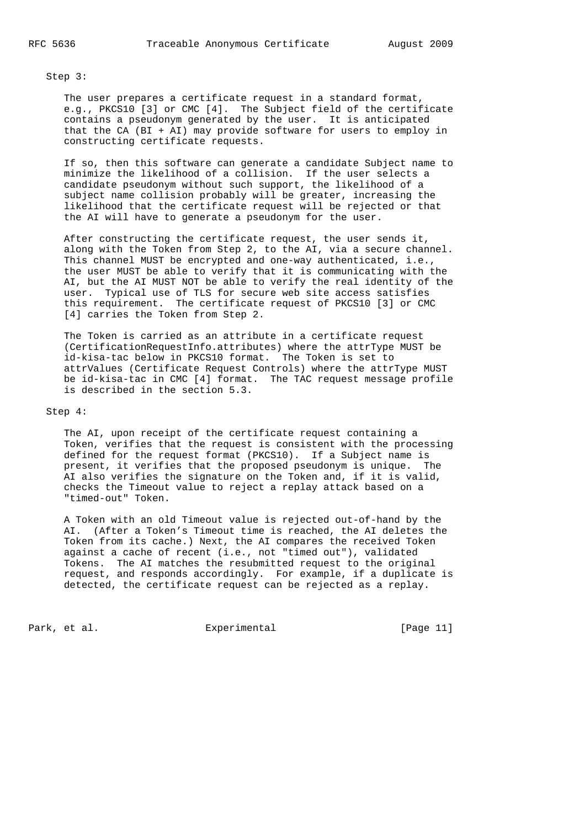Step 3:

 The user prepares a certificate request in a standard format, e.g., PKCS10 [3] or CMC [4]. The Subject field of the certificate contains a pseudonym generated by the user. It is anticipated that the CA (BI + AI) may provide software for users to employ in constructing certificate requests.

 If so, then this software can generate a candidate Subject name to minimize the likelihood of a collision. If the user selects a candidate pseudonym without such support, the likelihood of a subject name collision probably will be greater, increasing the likelihood that the certificate request will be rejected or that the AI will have to generate a pseudonym for the user.

 After constructing the certificate request, the user sends it, along with the Token from Step 2, to the AI, via a secure channel. This channel MUST be encrypted and one-way authenticated, i.e., the user MUST be able to verify that it is communicating with the AI, but the AI MUST NOT be able to verify the real identity of the user. Typical use of TLS for secure web site access satisfies this requirement. The certificate request of PKCS10 [3] or CMC [4] carries the Token from Step 2.

 The Token is carried as an attribute in a certificate request (CertificationRequestInfo.attributes) where the attrType MUST be id-kisa-tac below in PKCS10 format. The Token is set to attrValues (Certificate Request Controls) where the attrType MUST be id-kisa-tac in CMC [4] format. The TAC request message profile is described in the section 5.3.

### Step 4:

 The AI, upon receipt of the certificate request containing a Token, verifies that the request is consistent with the processing defined for the request format (PKCS10). If a Subject name is present, it verifies that the proposed pseudonym is unique. The AI also verifies the signature on the Token and, if it is valid, checks the Timeout value to reject a replay attack based on a "timed-out" Token.

 A Token with an old Timeout value is rejected out-of-hand by the AI. (After a Token's Timeout time is reached, the AI deletes the Token from its cache.) Next, the AI compares the received Token against a cache of recent (i.e., not "timed out"), validated Tokens. The AI matches the resubmitted request to the original request, and responds accordingly. For example, if a duplicate is detected, the certificate request can be rejected as a replay.

Park, et al. Experimental Experimental [Page 11]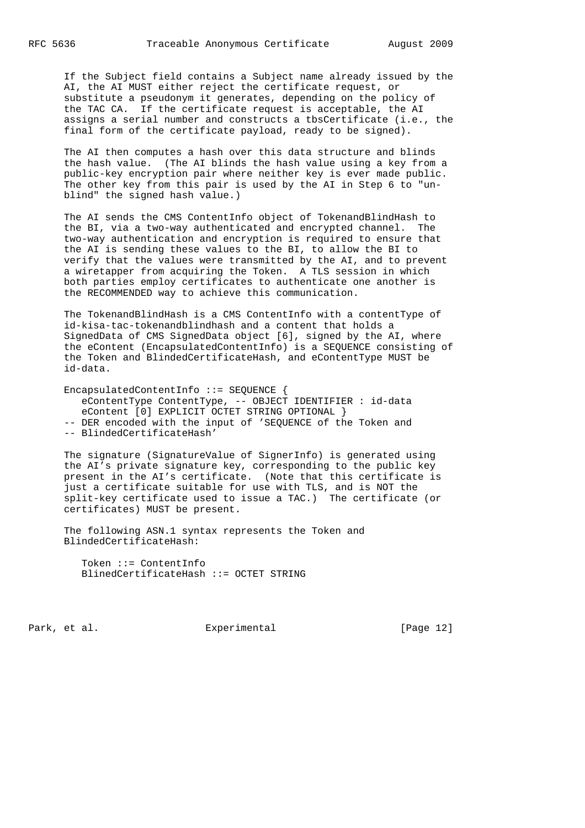If the Subject field contains a Subject name already issued by the AI, the AI MUST either reject the certificate request, or substitute a pseudonym it generates, depending on the policy of the TAC CA. If the certificate request is acceptable, the AI assigns a serial number and constructs a tbsCertificate (i.e., the final form of the certificate payload, ready to be signed).

 The AI then computes a hash over this data structure and blinds the hash value. (The AI blinds the hash value using a key from a public-key encryption pair where neither key is ever made public. The other key from this pair is used by the AI in Step 6 to "un blind" the signed hash value.)

 The AI sends the CMS ContentInfo object of TokenandBlindHash to the BI, via a two-way authenticated and encrypted channel. The two-way authentication and encryption is required to ensure that the AI is sending these values to the BI, to allow the BI to verify that the values were transmitted by the AI, and to prevent a wiretapper from acquiring the Token. A TLS session in which both parties employ certificates to authenticate one another is the RECOMMENDED way to achieve this communication.

 The TokenandBlindHash is a CMS ContentInfo with a contentType of id-kisa-tac-tokenandblindhash and a content that holds a SignedData of CMS SignedData object [6], signed by the AI, where the eContent (EncapsulatedContentInfo) is a SEQUENCE consisting of the Token and BlindedCertificateHash, and eContentType MUST be id-data.

 EncapsulatedContentInfo ::= SEQUENCE { eContentType ContentType, -- OBJECT IDENTIFIER : id-data eContent [0] EXPLICIT OCTET STRING OPTIONAL } -- DER encoded with the input of 'SEQUENCE of the Token and -- BlindedCertificateHash'

 The signature (SignatureValue of SignerInfo) is generated using the AI's private signature key, corresponding to the public key present in the AI's certificate. (Note that this certificate is just a certificate suitable for use with TLS, and is NOT the split-key certificate used to issue a TAC.) The certificate (or certificates) MUST be present.

 The following ASN.1 syntax represents the Token and BlindedCertificateHash:

 Token ::= ContentInfo BlinedCertificateHash ::= OCTET STRING

Park, et al. Subsection Experimental Fage 12]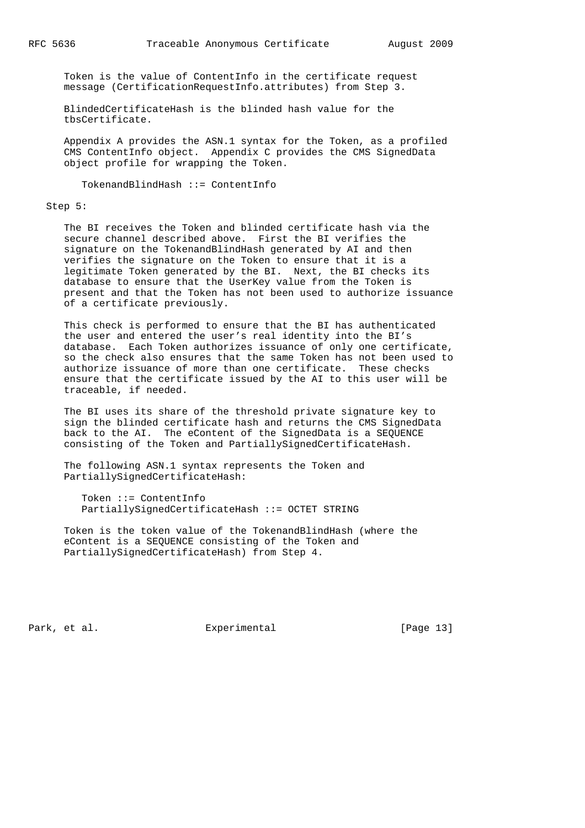Token is the value of ContentInfo in the certificate request message (CertificationRequestInfo.attributes) from Step 3.

 BlindedCertificateHash is the blinded hash value for the tbsCertificate.

 Appendix A provides the ASN.1 syntax for the Token, as a profiled CMS ContentInfo object. Appendix C provides the CMS SignedData object profile for wrapping the Token.

TokenandBlindHash ::= ContentInfo

#### Step 5:

 The BI receives the Token and blinded certificate hash via the secure channel described above. First the BI verifies the signature on the TokenandBlindHash generated by AI and then verifies the signature on the Token to ensure that it is a legitimate Token generated by the BI. Next, the BI checks its database to ensure that the UserKey value from the Token is present and that the Token has not been used to authorize issuance of a certificate previously.

 This check is performed to ensure that the BI has authenticated the user and entered the user's real identity into the BI's database. Each Token authorizes issuance of only one certificate, so the check also ensures that the same Token has not been used to authorize issuance of more than one certificate. These checks ensure that the certificate issued by the AI to this user will be traceable, if needed.

 The BI uses its share of the threshold private signature key to sign the blinded certificate hash and returns the CMS SignedData back to the AI. The eContent of the SignedData is a SEQUENCE consisting of the Token and PartiallySignedCertificateHash.

 The following ASN.1 syntax represents the Token and PartiallySignedCertificateHash:

 Token ::= ContentInfo PartiallySignedCertificateHash ::= OCTET STRING

 Token is the token value of the TokenandBlindHash (where the eContent is a SEQUENCE consisting of the Token and PartiallySignedCertificateHash) from Step 4.

Park, et al. Experimental [Page 13]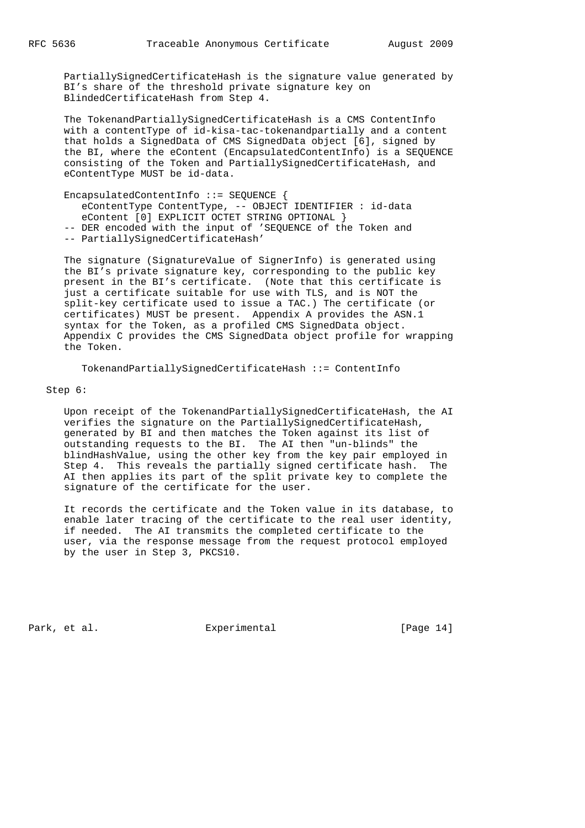PartiallySignedCertificateHash is the signature value generated by BI's share of the threshold private signature key on BlindedCertificateHash from Step 4.

 The TokenandPartiallySignedCertificateHash is a CMS ContentInfo with a contentType of id-kisa-tac-tokenandpartially and a content that holds a SignedData of CMS SignedData object [6], signed by the BI, where the eContent (EncapsulatedContentInfo) is a SEQUENCE consisting of the Token and PartiallySignedCertificateHash, and eContentType MUST be id-data.

 EncapsulatedContentInfo ::= SEQUENCE { eContentType ContentType, -- OBJECT IDENTIFIER : id-data eContent [0] EXPLICIT OCTET STRING OPTIONAL } -- DER encoded with the input of 'SEQUENCE of the Token and -- PartiallySignedCertificateHash'

 The signature (SignatureValue of SignerInfo) is generated using the BI's private signature key, corresponding to the public key present in the BI's certificate. (Note that this certificate is just a certificate suitable for use with TLS, and is NOT the split-key certificate used to issue a TAC.) The certificate (or certificates) MUST be present. Appendix A provides the ASN.1 syntax for the Token, as a profiled CMS SignedData object. Appendix C provides the CMS SignedData object profile for wrapping the Token.

TokenandPartiallySignedCertificateHash ::= ContentInfo

### Step 6:

 Upon receipt of the TokenandPartiallySignedCertificateHash, the AI verifies the signature on the PartiallySignedCertificateHash, generated by BI and then matches the Token against its list of outstanding requests to the BI. The AI then "un-blinds" the blindHashValue, using the other key from the key pair employed in Step 4. This reveals the partially signed certificate hash. The AI then applies its part of the split private key to complete the signature of the certificate for the user.

 It records the certificate and the Token value in its database, to enable later tracing of the certificate to the real user identity, if needed. The AI transmits the completed certificate to the user, via the response message from the request protocol employed by the user in Step 3, PKCS10.

Park, et al. Experimental [Page 14]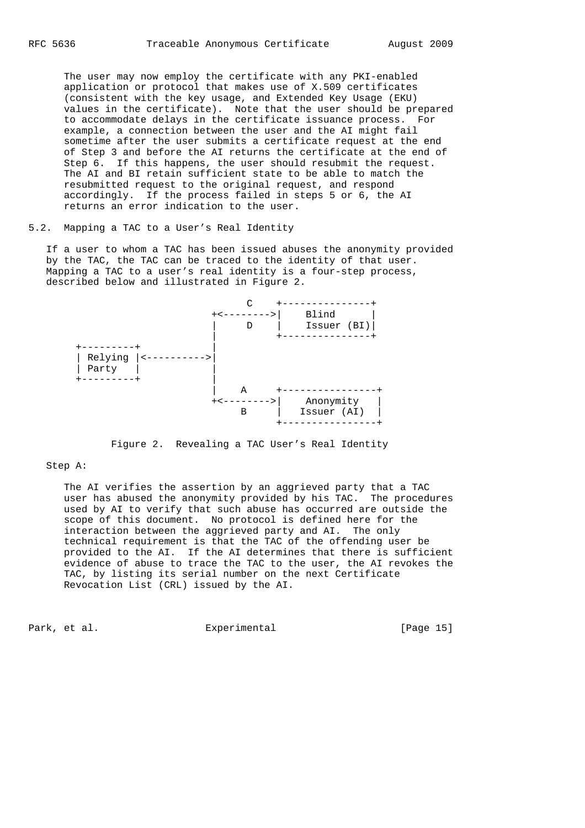The user may now employ the certificate with any PKI-enabled application or protocol that makes use of X.509 certificates (consistent with the key usage, and Extended Key Usage (EKU) values in the certificate). Note that the user should be prepared to accommodate delays in the certificate issuance process. For example, a connection between the user and the AI might fail sometime after the user submits a certificate request at the end of Step 3 and before the AI returns the certificate at the end of Step 6. If this happens, the user should resubmit the request. The AI and BI retain sufficient state to be able to match the resubmitted request to the original request, and respond accordingly. If the process failed in steps 5 or 6, the AI returns an error indication to the user.

# 5.2. Mapping a TAC to a User's Real Identity

 If a user to whom a TAC has been issued abuses the anonymity provided by the TAC, the TAC can be traced to the identity of that user. Mapping a TAC to a user's real identity is a four-step process, described below and illustrated in Figure 2.



Figure 2. Revealing a TAC User's Real Identity

### Step A:

 The AI verifies the assertion by an aggrieved party that a TAC user has abused the anonymity provided by his TAC. The procedures used by AI to verify that such abuse has occurred are outside the scope of this document. No protocol is defined here for the interaction between the aggrieved party and AI. The only technical requirement is that the TAC of the offending user be provided to the AI. If the AI determines that there is sufficient evidence of abuse to trace the TAC to the user, the AI revokes the TAC, by listing its serial number on the next Certificate Revocation List (CRL) issued by the AI.

Park, et al. Experimental [Page 15]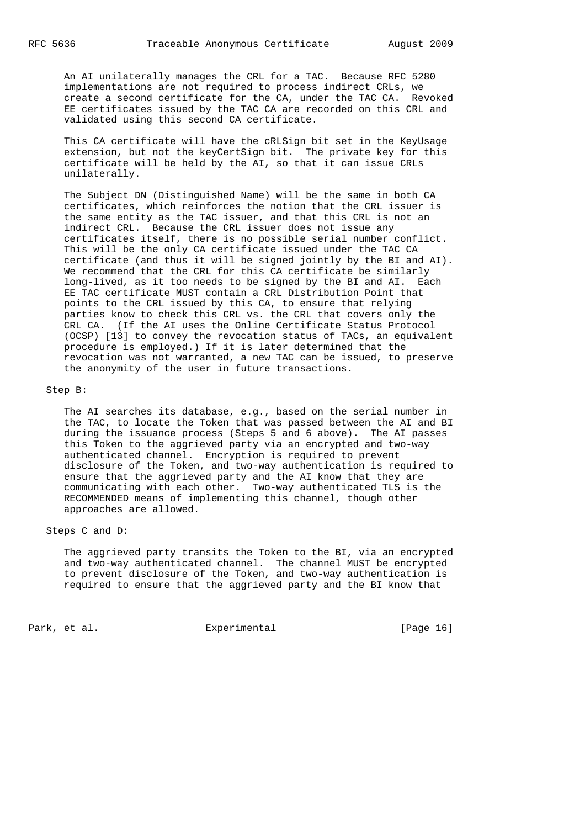An AI unilaterally manages the CRL for a TAC. Because RFC 5280 implementations are not required to process indirect CRLs, we create a second certificate for the CA, under the TAC CA. Revoked EE certificates issued by the TAC CA are recorded on this CRL and validated using this second CA certificate.

 This CA certificate will have the cRLSign bit set in the KeyUsage extension, but not the keyCertSign bit. The private key for this certificate will be held by the AI, so that it can issue CRLs unilaterally.

 The Subject DN (Distinguished Name) will be the same in both CA certificates, which reinforces the notion that the CRL issuer is the same entity as the TAC issuer, and that this CRL is not an indirect CRL. Because the CRL issuer does not issue any certificates itself, there is no possible serial number conflict. This will be the only CA certificate issued under the TAC CA certificate (and thus it will be signed jointly by the BI and AI). We recommend that the CRL for this CA certificate be similarly long-lived, as it too needs to be signed by the BI and AI. Each EE TAC certificate MUST contain a CRL Distribution Point that points to the CRL issued by this CA, to ensure that relying parties know to check this CRL vs. the CRL that covers only the CRL CA. (If the AI uses the Online Certificate Status Protocol (OCSP) [13] to convey the revocation status of TACs, an equivalent procedure is employed.) If it is later determined that the revocation was not warranted, a new TAC can be issued, to preserve the anonymity of the user in future transactions.

### Step B:

 The AI searches its database, e.g., based on the serial number in the TAC, to locate the Token that was passed between the AI and BI during the issuance process (Steps 5 and 6 above). The AI passes this Token to the aggrieved party via an encrypted and two-way authenticated channel. Encryption is required to prevent disclosure of the Token, and two-way authentication is required to ensure that the aggrieved party and the AI know that they are communicating with each other. Two-way authenticated TLS is the RECOMMENDED means of implementing this channel, though other approaches are allowed.

## Steps C and D:

 The aggrieved party transits the Token to the BI, via an encrypted and two-way authenticated channel. The channel MUST be encrypted to prevent disclosure of the Token, and two-way authentication is required to ensure that the aggrieved party and the BI know that

Park, et al. Experimental [Page 16]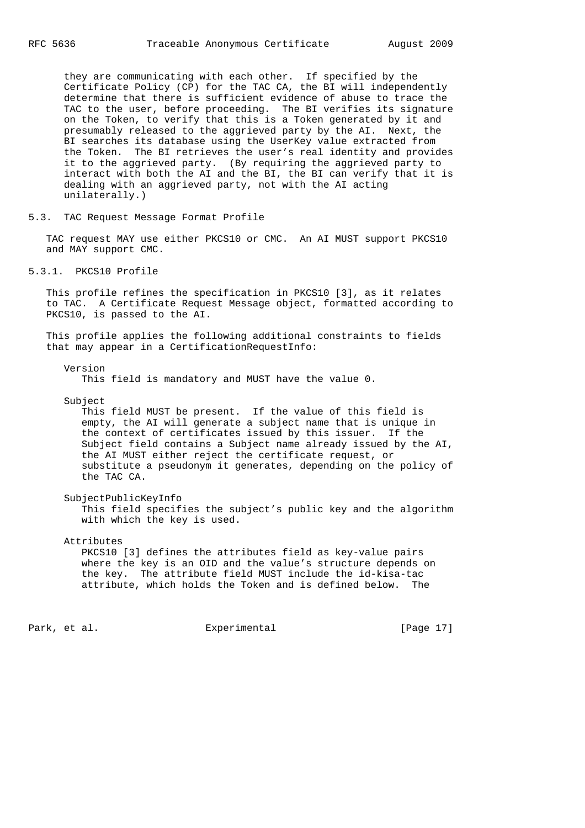they are communicating with each other. If specified by the Certificate Policy (CP) for the TAC CA, the BI will independently determine that there is sufficient evidence of abuse to trace the TAC to the user, before proceeding. The BI verifies its signature on the Token, to verify that this is a Token generated by it and presumably released to the aggrieved party by the AI. Next, the BI searches its database using the UserKey value extracted from the Token. The BI retrieves the user's real identity and provides it to the aggrieved party. (By requiring the aggrieved party to interact with both the AI and the BI, the BI can verify that it is dealing with an aggrieved party, not with the AI acting unilaterally.)

5.3. TAC Request Message Format Profile

 TAC request MAY use either PKCS10 or CMC. An AI MUST support PKCS10 and MAY support CMC.

5.3.1. PKCS10 Profile

 This profile refines the specification in PKCS10 [3], as it relates to TAC. A Certificate Request Message object, formatted according to PKCS10, is passed to the AI.

 This profile applies the following additional constraints to fields that may appear in a CertificationRequestInfo:

Version

This field is mandatory and MUST have the value 0.

Subject

 This field MUST be present. If the value of this field is empty, the AI will generate a subject name that is unique in the context of certificates issued by this issuer. If the Subject field contains a Subject name already issued by the AI, the AI MUST either reject the certificate request, or substitute a pseudonym it generates, depending on the policy of the TAC CA.

 SubjectPublicKeyInfo This field specifies the subject's public key and the algorithm with which the key is used.

Attributes

 PKCS10 [3] defines the attributes field as key-value pairs where the key is an OID and the value's structure depends on the key. The attribute field MUST include the id-kisa-tac attribute, which holds the Token and is defined below.

Park, et al. Experimental [Page 17]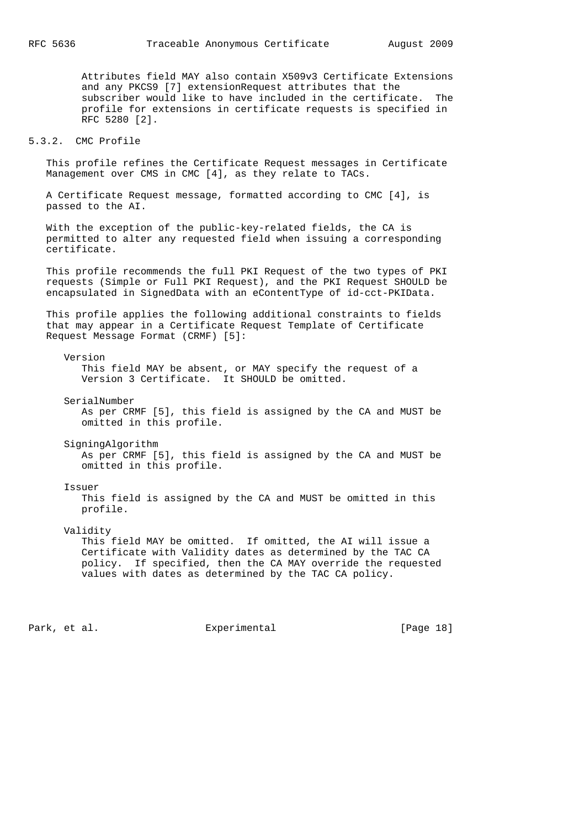Attributes field MAY also contain X509v3 Certificate Extensions and any PKCS9 [7] extensionRequest attributes that the subscriber would like to have included in the certificate. The profile for extensions in certificate requests is specified in RFC 5280 [2].

## 5.3.2. CMC Profile

 This profile refines the Certificate Request messages in Certificate Management over CMS in CMC [4], as they relate to TACs.

 A Certificate Request message, formatted according to CMC [4], is passed to the AI.

 With the exception of the public-key-related fields, the CA is permitted to alter any requested field when issuing a corresponding certificate.

 This profile recommends the full PKI Request of the two types of PKI requests (Simple or Full PKI Request), and the PKI Request SHOULD be encapsulated in SignedData with an eContentType of id-cct-PKIData.

 This profile applies the following additional constraints to fields that may appear in a Certificate Request Template of Certificate Request Message Format (CRMF) [5]:

### Version

 This field MAY be absent, or MAY specify the request of a Version 3 Certificate. It SHOULD be omitted.

 SerialNumber As per CRMF [5], this field is assigned by the CA and MUST be omitted in this profile.

SigningAlgorithm

 As per CRMF [5], this field is assigned by the CA and MUST be omitted in this profile.

#### Issuer

 This field is assigned by the CA and MUST be omitted in this profile.

Validity

 This field MAY be omitted. If omitted, the AI will issue a Certificate with Validity dates as determined by the TAC CA policy. If specified, then the CA MAY override the requested values with dates as determined by the TAC CA policy.

Park, et al. Experimental [Page 18]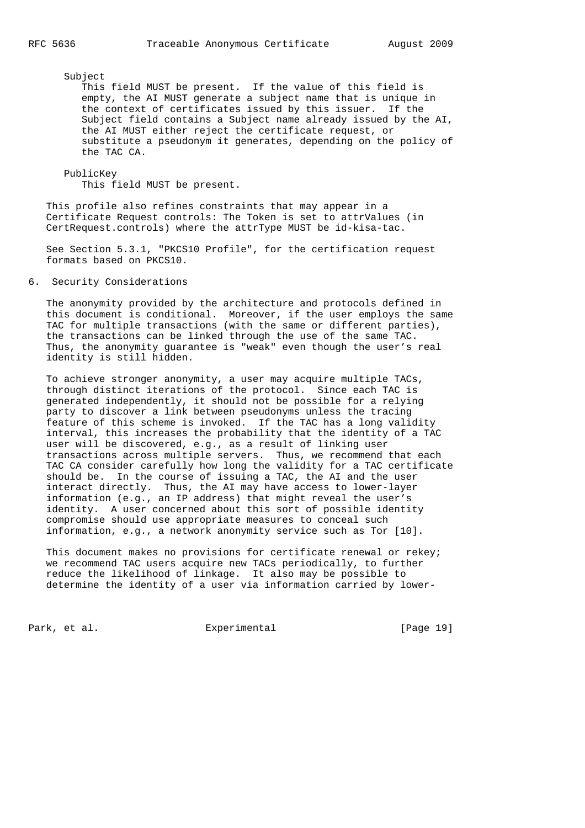### Subject

 This field MUST be present. If the value of this field is empty, the AI MUST generate a subject name that is unique in the context of certificates issued by this issuer. If the Subject field contains a Subject name already issued by the AI, the AI MUST either reject the certificate request, or substitute a pseudonym it generates, depending on the policy of the TAC CA.

 PublicKey This field MUST be present.

 This profile also refines constraints that may appear in a Certificate Request controls: The Token is set to attrValues (in CertRequest.controls) where the attrType MUST be id-kisa-tac.

 See Section 5.3.1, "PKCS10 Profile", for the certification request formats based on PKCS10.

# 6. Security Considerations

 The anonymity provided by the architecture and protocols defined in this document is conditional. Moreover, if the user employs the same TAC for multiple transactions (with the same or different parties), the transactions can be linked through the use of the same TAC. Thus, the anonymity guarantee is "weak" even though the user's real identity is still hidden.

 To achieve stronger anonymity, a user may acquire multiple TACs, through distinct iterations of the protocol. Since each TAC is generated independently, it should not be possible for a relying party to discover a link between pseudonyms unless the tracing feature of this scheme is invoked. If the TAC has a long validity interval, this increases the probability that the identity of a TAC user will be discovered, e.g., as a result of linking user transactions across multiple servers. Thus, we recommend that each TAC CA consider carefully how long the validity for a TAC certificate should be. In the course of issuing a TAC, the AI and the user interact directly. Thus, the AI may have access to lower-layer information (e.g., an IP address) that might reveal the user's identity. A user concerned about this sort of possible identity compromise should use appropriate measures to conceal such information, e.g., a network anonymity service such as Tor [10].

This document makes no provisions for certificate renewal or rekey; we recommend TAC users acquire new TACs periodically, to further reduce the likelihood of linkage. It also may be possible to determine the identity of a user via information carried by lower-

Park, et al. Experimental [Page 19]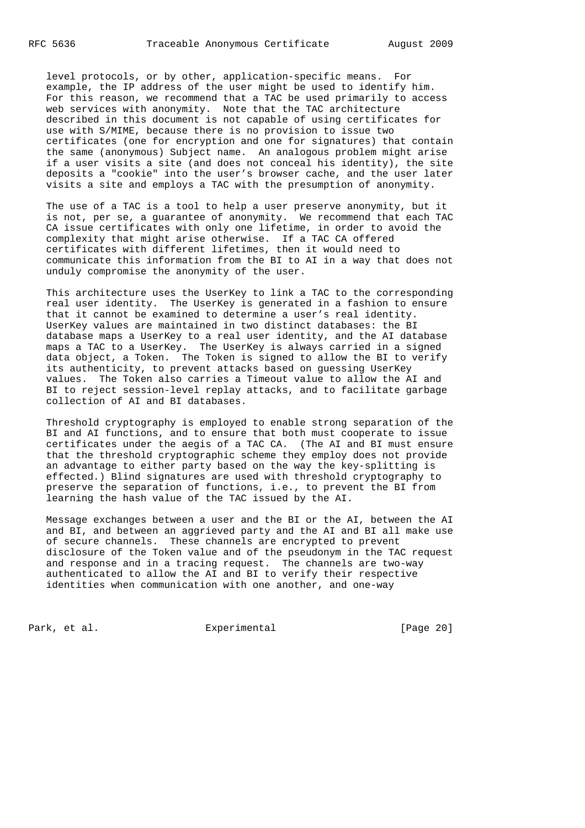level protocols, or by other, application-specific means. For example, the IP address of the user might be used to identify him. For this reason, we recommend that a TAC be used primarily to access web services with anonymity. Note that the TAC architecture described in this document is not capable of using certificates for use with S/MIME, because there is no provision to issue two certificates (one for encryption and one for signatures) that contain the same (anonymous) Subject name. An analogous problem might arise if a user visits a site (and does not conceal his identity), the site deposits a "cookie" into the user's browser cache, and the user later visits a site and employs a TAC with the presumption of anonymity.

 The use of a TAC is a tool to help a user preserve anonymity, but it is not, per se, a guarantee of anonymity. We recommend that each TAC CA issue certificates with only one lifetime, in order to avoid the complexity that might arise otherwise. If a TAC CA offered certificates with different lifetimes, then it would need to communicate this information from the BI to AI in a way that does not unduly compromise the anonymity of the user.

 This architecture uses the UserKey to link a TAC to the corresponding real user identity. The UserKey is generated in a fashion to ensure that it cannot be examined to determine a user's real identity. UserKey values are maintained in two distinct databases: the BI database maps a UserKey to a real user identity, and the AI database maps a TAC to a UserKey. The UserKey is always carried in a signed data object, a Token. The Token is signed to allow the BI to verify its authenticity, to prevent attacks based on guessing UserKey values. The Token also carries a Timeout value to allow the AI and BI to reject session-level replay attacks, and to facilitate garbage collection of AI and BI databases.

 Threshold cryptography is employed to enable strong separation of the BI and AI functions, and to ensure that both must cooperate to issue certificates under the aegis of a TAC CA. (The AI and BI must ensure that the threshold cryptographic scheme they employ does not provide an advantage to either party based on the way the key-splitting is effected.) Blind signatures are used with threshold cryptography to preserve the separation of functions, i.e., to prevent the BI from learning the hash value of the TAC issued by the AI.

 Message exchanges between a user and the BI or the AI, between the AI and BI, and between an aggrieved party and the AI and BI all make use of secure channels. These channels are encrypted to prevent disclosure of the Token value and of the pseudonym in the TAC request and response and in a tracing request. The channels are two-way authenticated to allow the AI and BI to verify their respective identities when communication with one another, and one-way

Park, et al. Experimental [Page 20]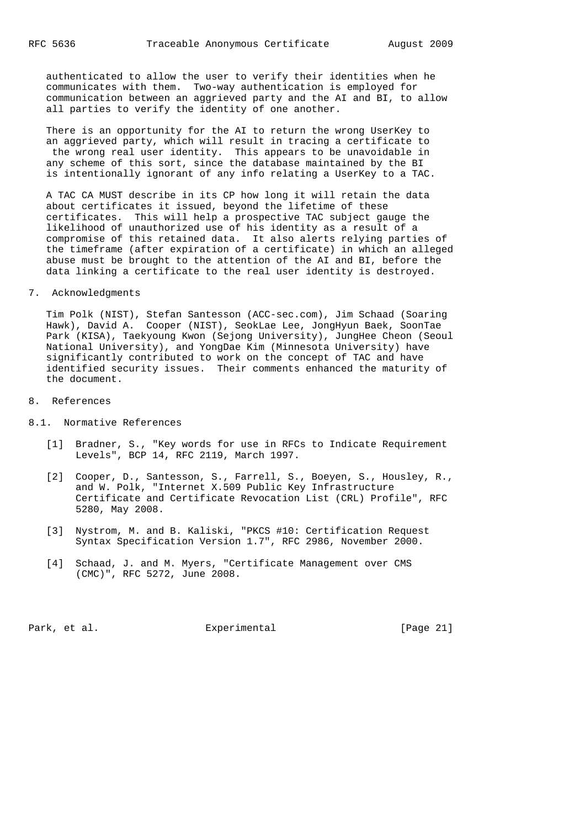authenticated to allow the user to verify their identities when he communicates with them. Two-way authentication is employed for communication between an aggrieved party and the AI and BI, to allow all parties to verify the identity of one another.

 There is an opportunity for the AI to return the wrong UserKey to an aggrieved party, which will result in tracing a certificate to the wrong real user identity. This appears to be unavoidable in any scheme of this sort, since the database maintained by the BI is intentionally ignorant of any info relating a UserKey to a TAC.

 A TAC CA MUST describe in its CP how long it will retain the data about certificates it issued, beyond the lifetime of these certificates. This will help a prospective TAC subject gauge the likelihood of unauthorized use of his identity as a result of a compromise of this retained data. It also alerts relying parties of the timeframe (after expiration of a certificate) in which an alleged abuse must be brought to the attention of the AI and BI, before the data linking a certificate to the real user identity is destroyed.

### 7. Acknowledgments

 Tim Polk (NIST), Stefan Santesson (ACC-sec.com), Jim Schaad (Soaring Hawk), David A. Cooper (NIST), SeokLae Lee, JongHyun Baek, SoonTae Park (KISA), Taekyoung Kwon (Sejong University), JungHee Cheon (Seoul National University), and YongDae Kim (Minnesota University) have significantly contributed to work on the concept of TAC and have identified security issues. Their comments enhanced the maturity of the document.

- 8. References
- 8.1. Normative References
	- [1] Bradner, S., "Key words for use in RFCs to Indicate Requirement Levels", BCP 14, RFC 2119, March 1997.
	- [2] Cooper, D., Santesson, S., Farrell, S., Boeyen, S., Housley, R., and W. Polk, "Internet X.509 Public Key Infrastructure Certificate and Certificate Revocation List (CRL) Profile", RFC 5280, May 2008.
	- [3] Nystrom, M. and B. Kaliski, "PKCS #10: Certification Request Syntax Specification Version 1.7", RFC 2986, November 2000.
	- [4] Schaad, J. and M. Myers, "Certificate Management over CMS (CMC)", RFC 5272, June 2008.

Park, et al. Experimental [Page 21]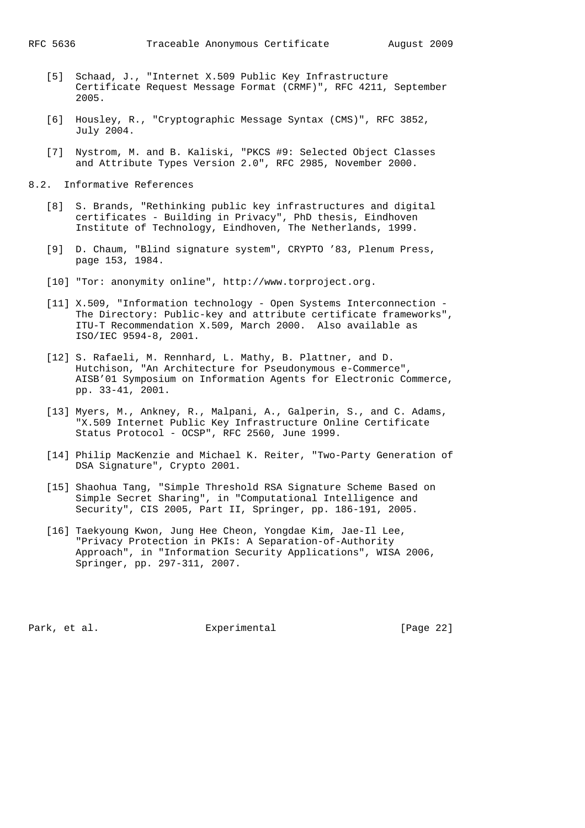- [5] Schaad, J., "Internet X.509 Public Key Infrastructure Certificate Request Message Format (CRMF)", RFC 4211, September 2005.
- [6] Housley, R., "Cryptographic Message Syntax (CMS)", RFC 3852, July 2004.
- [7] Nystrom, M. and B. Kaliski, "PKCS #9: Selected Object Classes and Attribute Types Version 2.0", RFC 2985, November 2000.
- 8.2. Informative References
- [8] S. Brands, "Rethinking public key infrastructures and digital certificates - Building in Privacy", PhD thesis, Eindhoven Institute of Technology, Eindhoven, The Netherlands, 1999.
- [9] D. Chaum, "Blind signature system", CRYPTO '83, Plenum Press, page 153, 1984.
	- [10] "Tor: anonymity online", http://www.torproject.org.
	- [11] X.509, "Information technology Open Systems Interconnection The Directory: Public-key and attribute certificate frameworks", ITU-T Recommendation X.509, March 2000. Also available as ISO/IEC 9594-8, 2001.
	- [12] S. Rafaeli, M. Rennhard, L. Mathy, B. Plattner, and D. Hutchison, "An Architecture for Pseudonymous e-Commerce", AISB'01 Symposium on Information Agents for Electronic Commerce, pp. 33-41, 2001.
	- [13] Myers, M., Ankney, R., Malpani, A., Galperin, S., and C. Adams, "X.509 Internet Public Key Infrastructure Online Certificate Status Protocol - OCSP", RFC 2560, June 1999.
	- [14] Philip MacKenzie and Michael K. Reiter, "Two-Party Generation of DSA Signature", Crypto 2001.
	- [15] Shaohua Tang, "Simple Threshold RSA Signature Scheme Based on Simple Secret Sharing", in "Computational Intelligence and Security", CIS 2005, Part II, Springer, pp. 186-191, 2005.
	- [16] Taekyoung Kwon, Jung Hee Cheon, Yongdae Kim, Jae-Il Lee, "Privacy Protection in PKIs: A Separation-of-Authority Approach", in "Information Security Applications", WISA 2006, Springer, pp. 297-311, 2007.

Park, et al. Experimental [Page 22]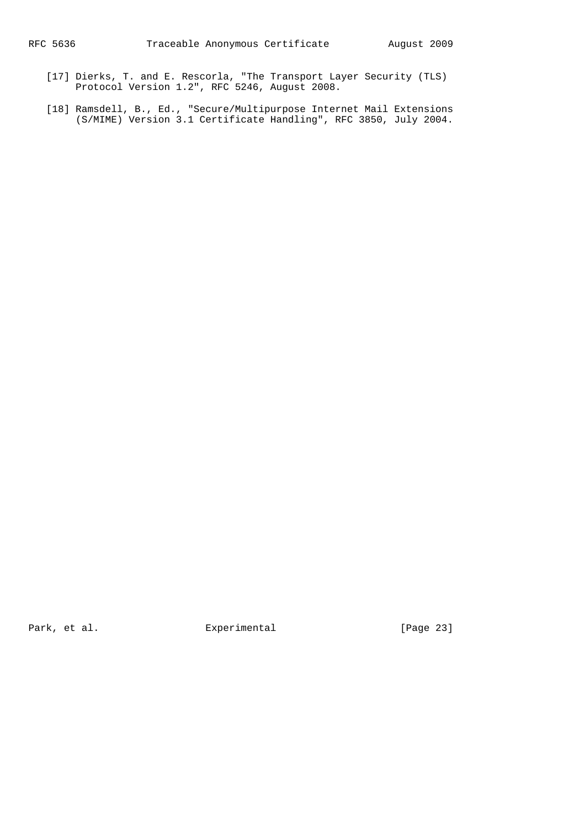- [17] Dierks, T. and E. Rescorla, "The Transport Layer Security (TLS) Protocol Version 1.2", RFC 5246, August 2008.
- [18] Ramsdell, B., Ed., "Secure/Multipurpose Internet Mail Extensions (S/MIME) Version 3.1 Certificate Handling", RFC 3850, July 2004.

Park, et al. The Experimental Text is the extended text in the extended method of  $[Page 23]$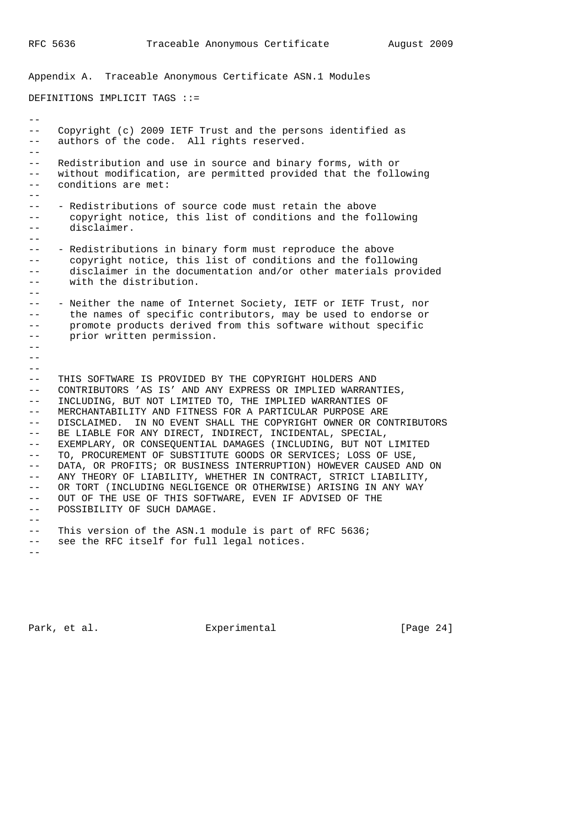--

Appendix A. Traceable Anonymous Certificate ASN.1 Modules

DEFINITIONS IMPLICIT TAGS ::=

-- Copyright (c) 2009 IETF Trust and the persons identified as -- authors of the code. All rights reserved.  $-$ -- Redistribution and use in source and binary forms, with or -- without modification, are permitted provided that the following -- conditions are met:  $-$ -- - Redistributions of source code must retain the above -- copyright notice, this list of conditions and the following -- disclaimer.  $- -$ -- - Redistributions in binary form must reproduce the above -- copyright notice, this list of conditions and the following -- disclaimer in the documentation and/or other materials provided -- with the distribution.  $-$ -- - Neither the name of Internet Society, IETF or IETF Trust, nor -- the names of specific contributors, may be used to endorse or -- promote products derived from this software without specific -- prior written permission. --  $-$ -- THIS SOFTWARE IS PROVIDED BY THE COPYRIGHT HOLDERS AND -- CONTRIBUTORS 'AS IS' AND ANY EXPRESS OR IMPLIED WARRANTIES, -- INCLUDING, BUT NOT LIMITED TO, THE IMPLIED WARRANTIES OF -- MERCHANTABILITY AND FITNESS FOR A PARTICULAR PURPOSE ARE -- DISCLAIMED. IN NO EVENT SHALL THE COPYRIGHT OWNER OR CONTRIBUTORS -- BE LIABLE FOR ANY DIRECT, INDIRECT, INCIDENTAL, SPECIAL,

-- EXEMPLARY, OR CONSEQUENTIAL DAMAGES (INCLUDING, BUT NOT LIMITED -- TO, PROCUREMENT OF SUBSTITUTE GOODS OR SERVICES; LOSS OF USE, -- DATA, OR PROFITS; OR BUSINESS INTERRUPTION) HOWEVER CAUSED AND ON -- ANY THEORY OF LIABILITY, WHETHER IN CONTRACT, STRICT LIABILITY, -- OR TORT (INCLUDING NEGLIGENCE OR OTHERWISE) ARISING IN ANY WAY -- OUT OF THE USE OF THIS SOFTWARE, EVEN IF ADVISED OF THE -- POSSIBILITY OF SUCH DAMAGE.

-- This version of the ASN.1 module is part of RFC 5636; -- see the RFC itself for full legal notices.

 $-$ 

 $-$ 

Park, et al. Experimental [Page 24]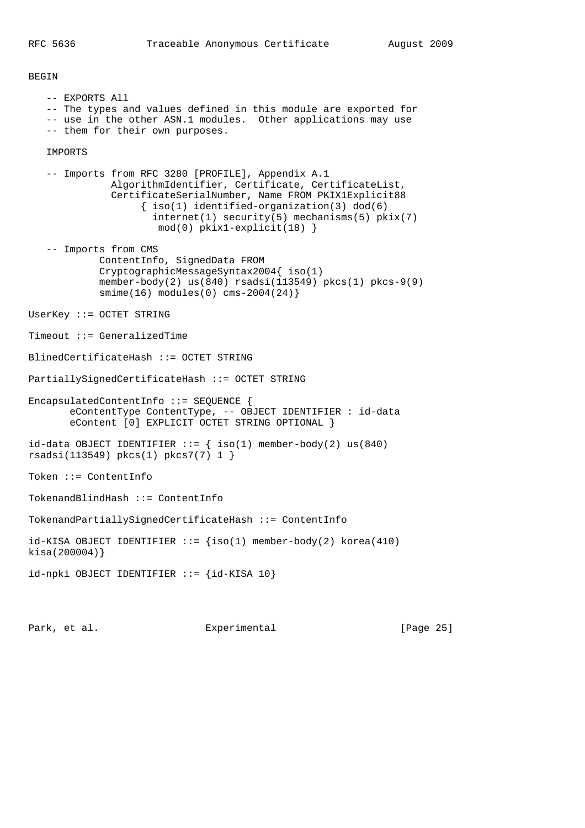BEGIN

 -- EXPORTS All -- The types and values defined in this module are exported for -- use in the other ASN.1 modules. Other applications may use -- them for their own purposes. IMPORTS -- Imports from RFC 3280 [PROFILE], Appendix A.1 AlgorithmIdentifier, Certificate, CertificateList, CertificateSerialNumber, Name FROM PKIX1Explicit88 { iso(1) identified-organization(3) dod(6) internet(1) security(5) mechanisms(5) pkix(7) mod(0) pkix1-explicit(18) } -- Imports from CMS ContentInfo, SignedData FROM CryptographicMessageSyntax2004{ iso(1) member-body(2)  $us(840)$  rsadsi(113549) pkcs(1) pkcs-9(9) smime(16) modules(0) cms-2004(24)} UserKey ::= OCTET STRING Timeout ::= GeneralizedTime BlinedCertificateHash ::= OCTET STRING PartiallySignedCertificateHash ::= OCTET STRING EncapsulatedContentInfo ::= SEQUENCE { eContentType ContentType, -- OBJECT IDENTIFIER : id-data eContent [0] EXPLICIT OCTET STRING OPTIONAL } id-data OBJECT IDENTIFIER  $::=$  { iso(1) member-body(2) us(840) rsadsi(113549) pkcs(1) pkcs7(7) 1 } Token ::= ContentInfo TokenandBlindHash ::= ContentInfo TokenandPartiallySignedCertificateHash ::= ContentInfo  $id-KISA$  OBJECT IDENTIFIER  $::=$  {iso(1) member-body(2) korea(410) kisa(200004)} id-npki OBJECT IDENTIFIER ::= {id-KISA 10}

Park, et al. Experimental [Page 25]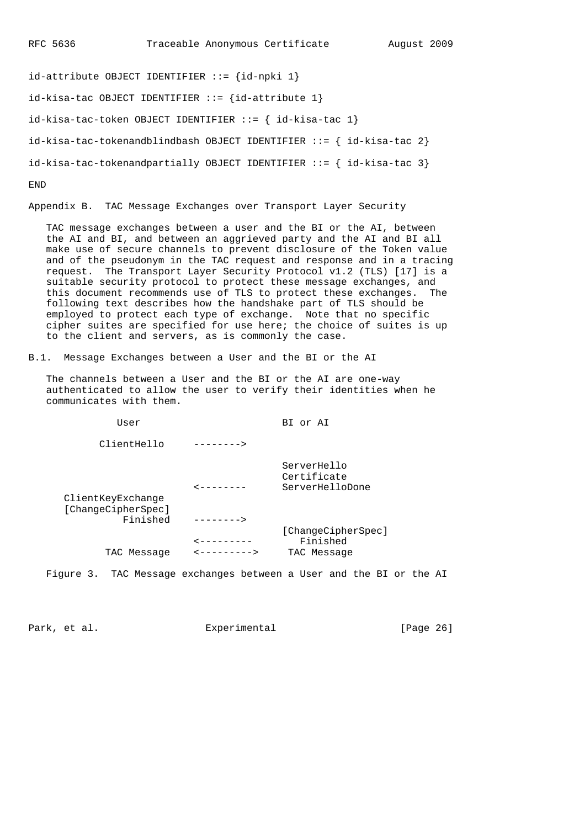id-attribute OBJECT IDENTIFIER ::= {id-npki 1}  $id - kisa - tac$  OBJECT IDENTIFIER ::= { $id - attribute$  1} id-kisa-tac-token OBJECT IDENTIFIER ::= { id-kisa-tac 1} id-kisa-tac-tokenandblindbash OBJECT IDENTIFIER  $::=$  { id-kisa-tac 2}  $id-kisa-tac-tokenandpartially OBJECT IDENTIFIER ::=\{ id-kisa-tac 3\}$ END

Appendix B. TAC Message Exchanges over Transport Layer Security

 TAC message exchanges between a user and the BI or the AI, between the AI and BI, and between an aggrieved party and the AI and BI all make use of secure channels to prevent disclosure of the Token value and of the pseudonym in the TAC request and response and in a tracing request. The Transport Layer Security Protocol v1.2 (TLS) [17] is a suitable security protocol to protect these message exchanges, and this document recommends use of TLS to protect these exchanges. The following text describes how the handshake part of TLS should be employed to protect each type of exchange. Note that no specific cipher suites are specified for use here; the choice of suites is up to the client and servers, as is commonly the case.

B.1. Message Exchanges between a User and the BI or the AI

 The channels between a User and the BI or the AI are one-way authenticated to allow the user to verify their identities when he communicates with them.

User BI or AI

ClientHello -------->

 ServerHello Certificate <-------- ServerHelloDone

| ClientKeyExchange<br>[ChangeCipherSpec] |                                |                    |
|-----------------------------------------|--------------------------------|--------------------|
| Finished                                | -------->                      |                    |
|                                         |                                | [ChangeCipherSpec] |
|                                         | --------                       | Finished           |
| TAC Message                             | $\leftarrow$ - - - - - - - - > | TAC Message        |
|                                         |                                |                    |

Figure 3. TAC Message exchanges between a User and the BI or the AI

Park, et al. Experimental [Page 26]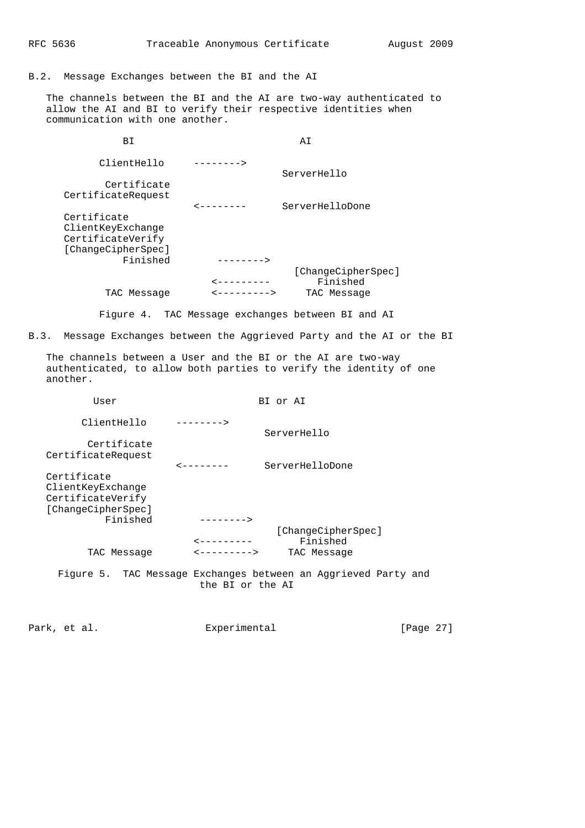B.2. Message Exchanges between the BI and the AI

 The channels between the BI and the AI are two-way authenticated to allow the AI and BI to verify their respective identities when communication with one another.

BI AI ClientHello --------> ServerHello Certificate CertificateRequest <-------- ServerHelloDone Certificate ClientKeyExchange CertificateVerify [ChangeCipherSpec] Finished --------> [ChangeCipherSpec]<br>| ChangeCipherSpec]<br>| Finished <--------- Finished TAC Message <---------> TAC Message

Figure 4. TAC Message exchanges between BI and AI

B.3. Message Exchanges between the Aggrieved Party and the AI or the BI

 The channels between a User and the BI or the AI are two-way authenticated, to allow both parties to verify the identity of one another.

| User                                                                                    | BI or AI                                                                                                 |
|-----------------------------------------------------------------------------------------|----------------------------------------------------------------------------------------------------------|
| ClientHello                                                                             | --------><br>ServerHello                                                                                 |
| Certificate<br>CertificateRequest                                                       |                                                                                                          |
| Certificate<br>ClientKeyExchange<br>CertificateVerify<br>[ChangeCipherSpec]<br>Finished | ServerHelloDone<br>$-------->$                                                                           |
| TAC Message                                                                             | [ChangeCipherSpec]<br>Finished<br>$2 - - - - - - - - -$<br>$\leftarrow$ - - - - - - - - ><br>TAC Message |
|                                                                                         | Figure 5. TAC Message Exchanges between an Aggrieved Party and<br>the BI or the AI                       |

Park, et al. Subsection Experimental Fage 27]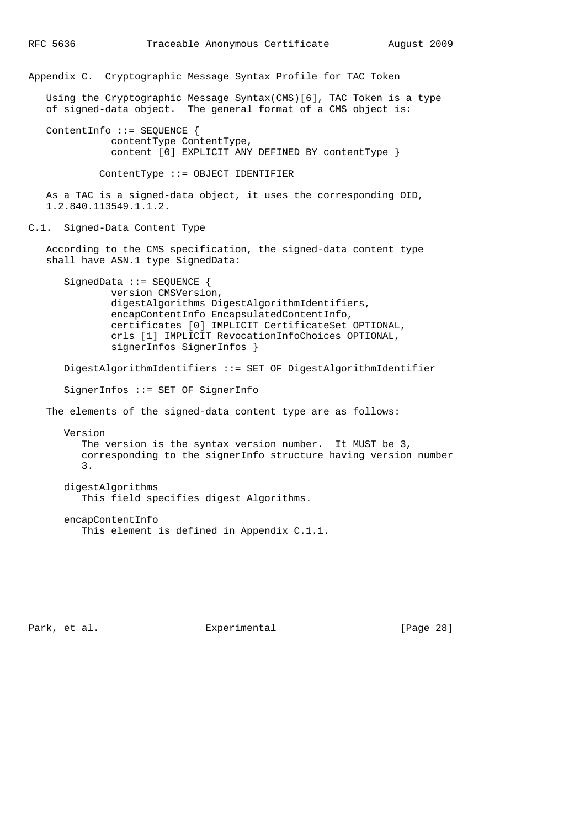```
RFC 5636 Traceable Anonymous Certificate August 2009
Appendix C. Cryptographic Message Syntax Profile for TAC Token
   Using the Cryptographic Message Syntax(CMS)[6], TAC Token is a type
   of signed-data object. The general format of a CMS object is:
   ContentInfo ::= SEQUENCE {
              contentType ContentType,
              content [0] EXPLICIT ANY DEFINED BY contentType }
            ContentType ::= OBJECT IDENTIFIER
   As a TAC is a signed-data object, it uses the corresponding OID,
   1.2.840.113549.1.1.2.
C.1. Signed-Data Content Type
   According to the CMS specification, the signed-data content type
```

```
 shall have ASN.1 type SignedData:
      SignedData ::= SEQUENCE {
             version CMSVersion,
              digestAlgorithms DigestAlgorithmIdentifiers,
 encapContentInfo EncapsulatedContentInfo,
 certificates [0] IMPLICIT CertificateSet OPTIONAL,
              crls [1] IMPLICIT RevocationInfoChoices OPTIONAL,
              signerInfos SignerInfos }
```
 DigestAlgorithmIdentifiers ::= SET OF DigestAlgorithmIdentifier SignerInfos ::= SET OF SignerInfo The elements of the signed-data content type are as follows:

 Version The version is the syntax version number. It MUST be 3, corresponding to the signerInfo structure having version number 3.

```
 digestAlgorithms
    This field specifies digest Algorithms.
```

```
 encapContentInfo
    This element is defined in Appendix C.1.1.
```
Park, et al. Experimental Experimental [Page 28]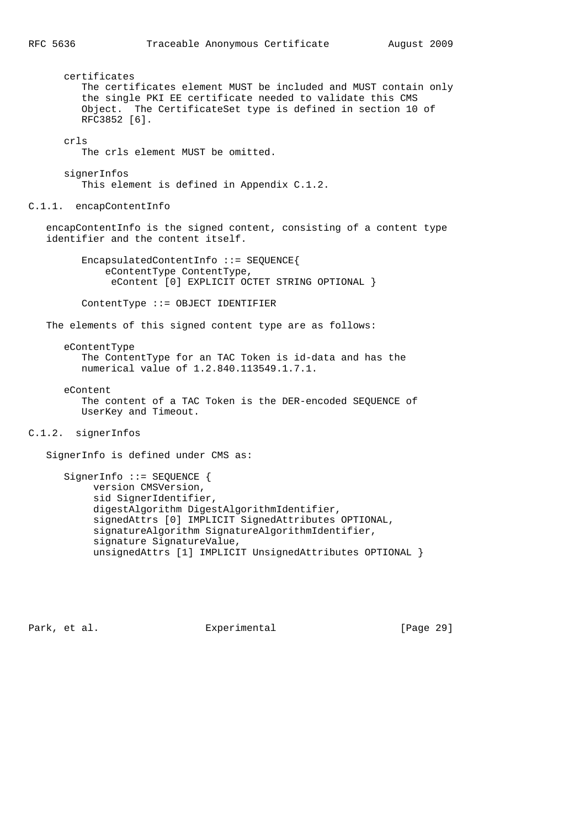certificates The certificates element MUST be included and MUST contain only the single PKI EE certificate needed to validate this CMS Object. The CertificateSet type is defined in section 10 of RFC3852 [6]. crls The crls element MUST be omitted. signerInfos This element is defined in Appendix C.1.2. C.1.1. encapContentInfo encapContentInfo is the signed content, consisting of a content type identifier and the content itself. EncapsulatedContentInfo ::= SEQUENCE{ eContentType ContentType, eContent [0] EXPLICIT OCTET STRING OPTIONAL } ContentType ::= OBJECT IDENTIFIER

The elements of this signed content type are as follows:

 eContentType The ContentType for an TAC Token is id-data and has the numerical value of 1.2.840.113549.1.7.1.

eContent

 The content of a TAC Token is the DER-encoded SEQUENCE of UserKey and Timeout.

C.1.2. signerInfos

SignerInfo is defined under CMS as:

SignerInfo ::= SEQUENCE { version CMSVersion, sid SignerIdentifier, digestAlgorithm DigestAlgorithmIdentifier, signedAttrs [0] IMPLICIT SignedAttributes OPTIONAL, signatureAlgorithm SignatureAlgorithmIdentifier, signature SignatureValue, unsignedAttrs [1] IMPLICIT UnsignedAttributes OPTIONAL }

Park, et al. Experimental [Page 29]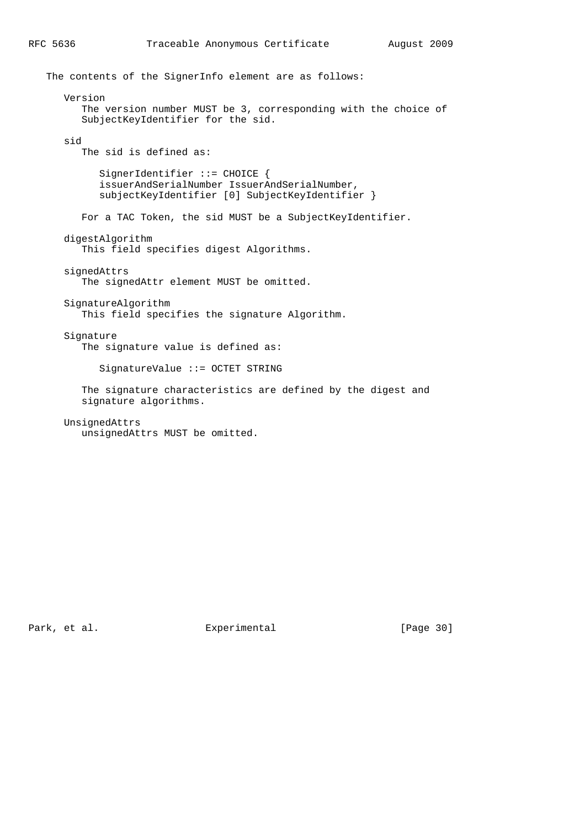The contents of the SignerInfo element are as follows: Version The version number MUST be 3, corresponding with the choice of SubjectKeyIdentifier for the sid. sid The sid is defined as: SignerIdentifier ::= CHOICE { issuerAndSerialNumber IssuerAndSerialNumber, subjectKeyIdentifier [0] SubjectKeyIdentifier } For a TAC Token, the sid MUST be a SubjectKeyIdentifier. digestAlgorithm This field specifies digest Algorithms. signedAttrs The signedAttr element MUST be omitted. SignatureAlgorithm This field specifies the signature Algorithm. Signature The signature value is defined as: SignatureValue ::= OCTET STRING The signature characteristics are defined by the digest and signature algorithms. UnsignedAttrs unsignedAttrs MUST be omitted.

Park, et al. Subsection Experimental Fark (Page 30)